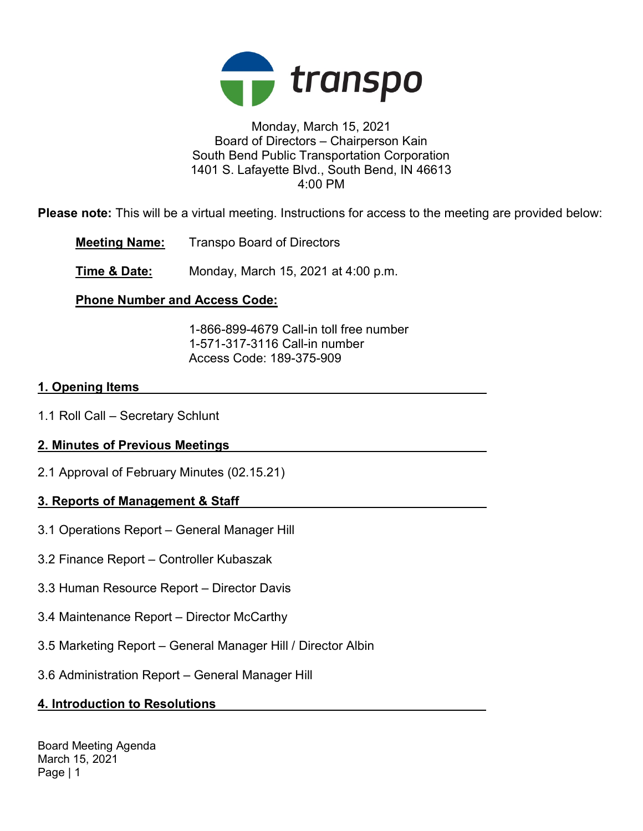

#### Monday, March 15, 2021 Board of Directors – Chairperson Kain South Bend Public Transportation Corporation 1401 S. Lafayette Blvd., South Bend, IN 46613 4:00 PM

Please note: This will be a virtual meeting. Instructions for access to the meeting are provided below:

Meeting Name: Transpo Board of Directors

**Time & Date:** Monday, March 15, 2021 at 4:00 p.m.

# Phone Number and Access Code:

 1-866-899-4679 Call-in toll free number 1-571-317-3116 Call-in number Access Code: 189-375-909

## 1. Opening Items

1.1 Roll Call – Secretary Schlunt

# 2. Minutes of Previous Meetings

2.1 Approval of February Minutes (02.15.21)

# 3. Reports of Management & Staff

- 3.1 Operations Report General Manager Hill
- 3.2 Finance Report Controller Kubaszak
- 3.3 Human Resource Report Director Davis
- 3.4 Maintenance Report Director McCarthy
- 3.5 Marketing Report General Manager Hill / Director Albin
- 3.6 Administration Report General Manager Hill

# 4. Introduction to Resolutions

Board Meeting Agenda March 15, 2021 Page | 1